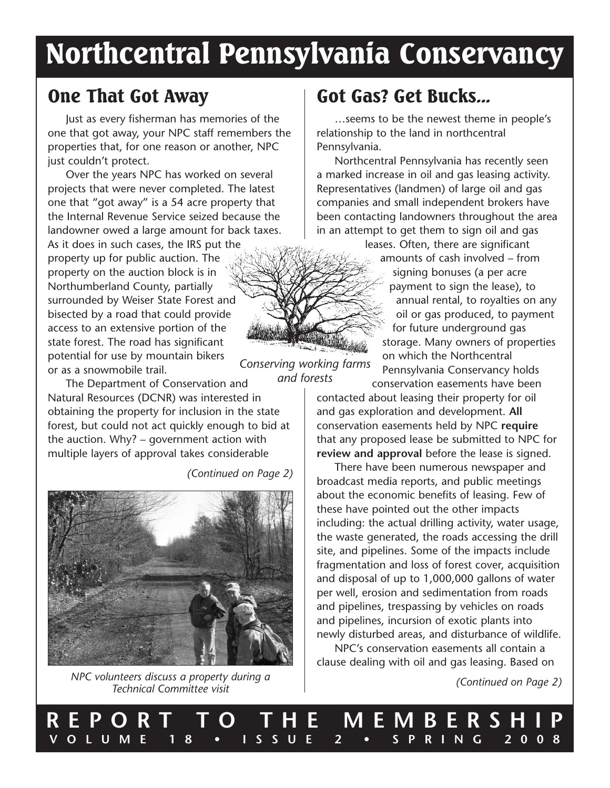# Northcentral Pennsylvania Conservancy

*Conserving working farms*

### One That Got Away

Just as every fisherman has memories of the one that got away, your NPC staff remembers the properties that, for one reason or another, NPC just couldn't protect.

Over the years NPC has worked on several projects that were never completed. The latest one that "got away" is a 54 acre property that the Internal Revenue Service seized because the landowner owed a large amount for back taxes.

As it does in such cases, the IRS put the property up for public auction. The property on the auction block is in Northumberland County, partially surrounded by Weiser State Forest and bisected by a road that could provide access to an extensive portion of the state forest. The road has significant potential for use by mountain bikers or as a snowmobile trail.

*and forests* The Department of Conservation and Natural Resources (DCNR) was interested in obtaining the property for inclusion in the state forest, but could not act quickly enough to bid at the auction. Why? – government action with multiple layers of approval takes considerable

*(Continued on Page 2)*



*NPC volunteers discuss a property during a Technical Committee visit*

# Got Gas? Get Bucks...

…seems to be the newest theme in people's relationship to the land in northcentral Pennsylvania.

Northcentral Pennsylvania has recently seen a marked increase in oil and gas leasing activity. Representatives (landmen) of large oil and gas companies and small independent brokers have been contacting landowners throughout the area in an attempt to get them to sign oil and gas

> leases. Often, there are significant amounts of cash involved – from signing bonuses (a per acre payment to sign the lease), to annual rental, to royalties on any oil or gas produced, to payment for future underground gas storage. Many owners of properties on which the Northcentral Pennsylvania Conservancy holds

conservation easements have been contacted about leasing their property for oil and gas exploration and development. **All** conservation easements held by NPC **require** that any proposed lease be submitted to NPC for **review and approval** before the lease is signed.

There have been numerous newspaper and broadcast media reports, and public meetings about the economic benefits of leasing. Few of these have pointed out the other impacts including: the actual drilling activity, water usage, the waste generated, the roads accessing the drill site, and pipelines. Some of the impacts include fragmentation and loss of forest cover, acquisition and disposal of up to 1,000,000 gallons of water per well, erosion and sedimentation from roads and pipelines, trespassing by vehicles on roads and pipelines, incursion of exotic plants into newly disturbed areas, and disturbance of wildlife.

NPC's conservation easements all contain a clause dealing with oil and gas leasing. Based on

*(Continued on Page 2)*

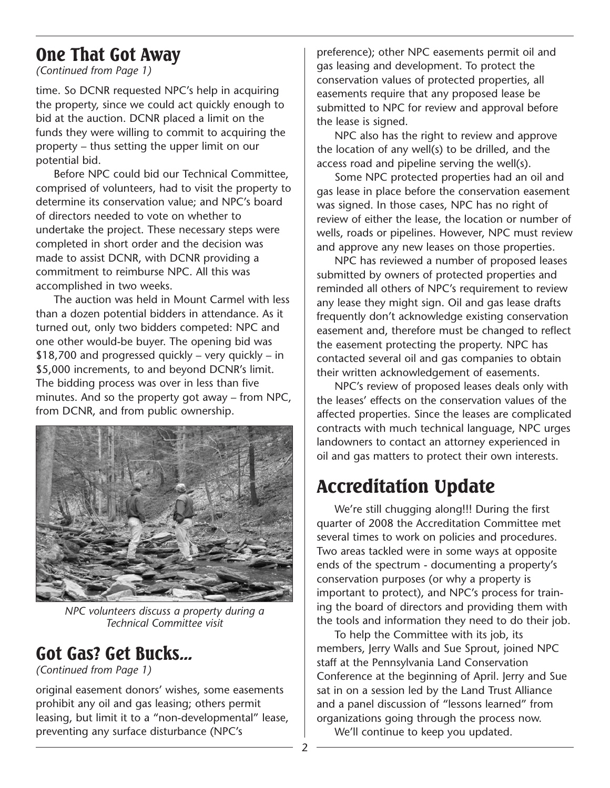### One That Got Away

*(Continued from Page 1)*

time. So DCNR requested NPC's help in acquiring the property, since we could act quickly enough to bid at the auction. DCNR placed a limit on the funds they were willing to commit to acquiring the property – thus setting the upper limit on our potential bid.

Before NPC could bid our Technical Committee, comprised of volunteers, had to visit the property to determine its conservation value; and NPC's board of directors needed to vote on whether to undertake the project. These necessary steps were completed in short order and the decision was made to assist DCNR, with DCNR providing a commitment to reimburse NPC. All this was accomplished in two weeks.

The auction was held in Mount Carmel with less than a dozen potential bidders in attendance. As it turned out, only two bidders competed: NPC and one other would-be buyer. The opening bid was \$18,700 and progressed quickly – very quickly – in \$5,000 increments, to and beyond DCNR's limit. The bidding process was over in less than five minutes. And so the property got away – from NPC, from DCNR, and from public ownership.



*NPC volunteers discuss a property during a Technical Committee visit*

#### Got Gas? Get Bucks...

*(Continued from Page 1)*

original easement donors' wishes, some easements prohibit any oil and gas leasing; others permit leasing, but limit it to a "non-developmental" lease, preventing any surface disturbance (NPC's

preference); other NPC easements permit oil and gas leasing and development. To protect the conservation values of protected properties, all easements require that any proposed lease be submitted to NPC for review and approval before the lease is signed.

NPC also has the right to review and approve the location of any well(s) to be drilled, and the access road and pipeline serving the well(s).

Some NPC protected properties had an oil and gas lease in place before the conservation easement was signed. In those cases, NPC has no right of review of either the lease, the location or number of wells, roads or pipelines. However, NPC must review and approve any new leases on those properties.

NPC has reviewed a number of proposed leases submitted by owners of protected properties and reminded all others of NPC's requirement to review any lease they might sign. Oil and gas lease drafts frequently don't acknowledge existing conservation easement and, therefore must be changed to reflect the easement protecting the property. NPC has contacted several oil and gas companies to obtain their written acknowledgement of easements.

NPC's review of proposed leases deals only with the leases' effects on the conservation values of the affected properties. Since the leases are complicated contracts with much technical language, NPC urges landowners to contact an attorney experienced in oil and gas matters to protect their own interests.

# Accreditation Update

We're still chugging along!!! During the first quarter of 2008 the Accreditation Committee met several times to work on policies and procedures. Two areas tackled were in some ways at opposite ends of the spectrum - documenting a property's conservation purposes (or why a property is important to protect), and NPC's process for training the board of directors and providing them with the tools and information they need to do their job.

To help the Committee with its job, its members, Jerry Walls and Sue Sprout, joined NPC staff at the Pennsylvania Land Conservation Conference at the beginning of April. Jerry and Sue sat in on a session led by the Land Trust Alliance and a panel discussion of "lessons learned" from organizations going through the process now.

We'll continue to keep you updated.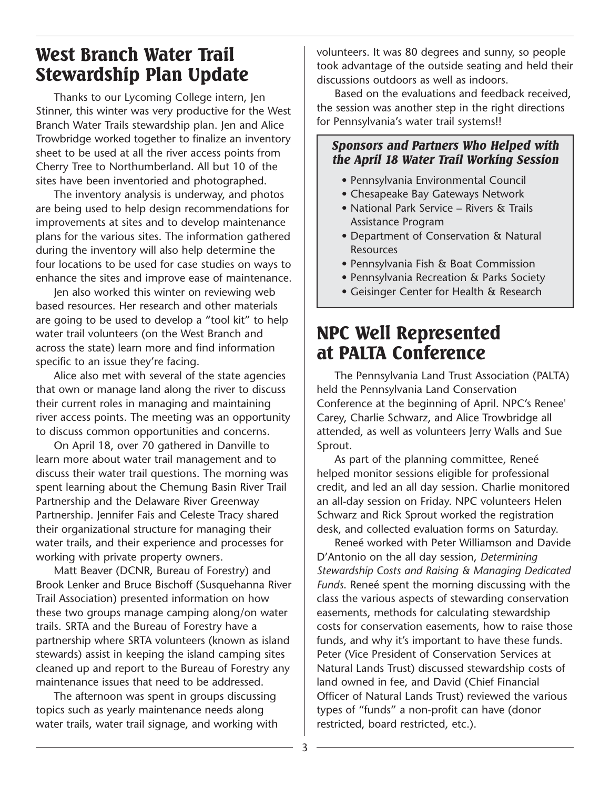### West Branch Water Trail Stewardship Plan Update

Thanks to our Lycoming College intern, Jen Stinner, this winter was very productive for the West Branch Water Trails stewardship plan. Jen and Alice Trowbridge worked together to finalize an inventory sheet to be used at all the river access points from Cherry Tree to Northumberland. All but 10 of the sites have been inventoried and photographed.

The inventory analysis is underway, and photos are being used to help design recommendations for improvements at sites and to develop maintenance plans for the various sites. The information gathered during the inventory will also help determine the four locations to be used for case studies on ways to enhance the sites and improve ease of maintenance.

Jen also worked this winter on reviewing web based resources. Her research and other materials are going to be used to develop a "tool kit" to help water trail volunteers (on the West Branch and across the state) learn more and find information specific to an issue they're facing.

Alice also met with several of the state agencies that own or manage land along the river to discuss their current roles in managing and maintaining river access points. The meeting was an opportunity to discuss common opportunities and concerns.

On April 18, over 70 gathered in Danville to learn more about water trail management and to discuss their water trail questions. The morning was spent learning about the Chemung Basin River Trail Partnership and the Delaware River Greenway Partnership. Jennifer Fais and Celeste Tracy shared their organizational structure for managing their water trails, and their experience and processes for working with private property owners.

Matt Beaver (DCNR, Bureau of Forestry) and Brook Lenker and Bruce Bischoff (Susquehanna River Trail Association) presented information on how these two groups manage camping along/on water trails. SRTA and the Bureau of Forestry have a partnership where SRTA volunteers (known as island stewards) assist in keeping the island camping sites cleaned up and report to the Bureau of Forestry any maintenance issues that need to be addressed.

The afternoon was spent in groups discussing topics such as yearly maintenance needs along water trails, water trail signage, and working with volunteers. It was 80 degrees and sunny, so people took advantage of the outside seating and held their discussions outdoors as well as indoors.

Based on the evaluations and feedback received, the session was another step in the right directions for Pennsylvania's water trail systems!!

#### *Sponsors and Partners Who Helped with the April 18 Water Trail Working Session*

- Pennsylvania Environmental Council
- Chesapeake Bay Gateways Network
- National Park Service Rivers & Trails Assistance Program
- Department of Conservation & Natural Resources
- Pennsylvania Fish & Boat Commission
- Pennsylvania Recreation & Parks Society
- Geisinger Center for Health & Research

### NPC Well Represented at PALTA Conference

The Pennsylvania Land Trust Association (PALTA) held the Pennsylvania Land Conservation Conference at the beginning of April. NPC's Renee' Carey, Charlie Schwarz, and Alice Trowbridge all attended, as well as volunteers Jerry Walls and Sue Sprout.

As part of the planning committee, Reneé helped monitor sessions eligible for professional credit, and led an all day session. Charlie monitored an all-day session on Friday. NPC volunteers Helen Schwarz and Rick Sprout worked the registration desk, and collected evaluation forms on Saturday.

Reneé worked with Peter Williamson and Davide D'Antonio on the all day session, *Determining Stewardship Costs and Raising & Managing Dedicated Funds*. Reneé spent the morning discussing with the class the various aspects of stewarding conservation easements, methods for calculating stewardship costs for conservation easements, how to raise those funds, and why it's important to have these funds. Peter (Vice President of Conservation Services at Natural Lands Trust) discussed stewardship costs of land owned in fee, and David (Chief Financial Officer of Natural Lands Trust) reviewed the various types of "funds" a non-profit can have (donor restricted, board restricted, etc.).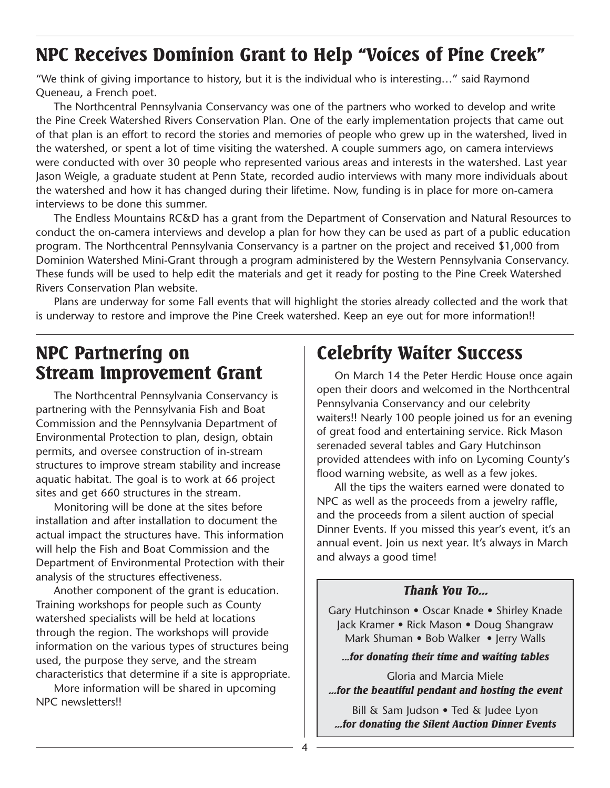### NPC Receives Dominion Grant to Help "Voices of Pine Creek"

"We think of giving importance to history, but it is the individual who is interesting…" said Raymond Queneau, a French poet.

The Northcentral Pennsylvania Conservancy was one of the partners who worked to develop and write the Pine Creek Watershed Rivers Conservation Plan. One of the early implementation projects that came out of that plan is an effort to record the stories and memories of people who grew up in the watershed, lived in the watershed, or spent a lot of time visiting the watershed. A couple summers ago, on camera interviews were conducted with over 30 people who represented various areas and interests in the watershed. Last year Jason Weigle, a graduate student at Penn State, recorded audio interviews with many more individuals about the watershed and how it has changed during their lifetime. Now, funding is in place for more on-camera interviews to be done this summer.

The Endless Mountains RC&D has a grant from the Department of Conservation and Natural Resources to conduct the on-camera interviews and develop a plan for how they can be used as part of a public education program. The Northcentral Pennsylvania Conservancy is a partner on the project and received \$1,000 from Dominion Watershed Mini-Grant through a program administered by the Western Pennsylvania Conservancy. These funds will be used to help edit the materials and get it ready for posting to the Pine Creek Watershed Rivers Conservation Plan website.

Plans are underway for some Fall events that will highlight the stories already collected and the work that is underway to restore and improve the Pine Creek watershed. Keep an eye out for more information!!

### NPC Partnering on Stream Improvement Grant

The Northcentral Pennsylvania Conservancy is partnering with the Pennsylvania Fish and Boat Commission and the Pennsylvania Department of Environmental Protection to plan, design, obtain permits, and oversee construction of in-stream structures to improve stream stability and increase aquatic habitat. The goal is to work at 66 project sites and get 660 structures in the stream.

Monitoring will be done at the sites before installation and after installation to document the actual impact the structures have. This information will help the Fish and Boat Commission and the Department of Environmental Protection with their analysis of the structures effectiveness.

Another component of the grant is education. Training workshops for people such as County watershed specialists will be held at locations through the region. The workshops will provide information on the various types of structures being used, the purpose they serve, and the stream characteristics that determine if a site is appropriate.

More information will be shared in upcoming NPC newsletters!!

# Celebrity Waiter Success

On March 14 the Peter Herdic House once again open their doors and welcomed in the Northcentral Pennsylvania Conservancy and our celebrity waiters!! Nearly 100 people joined us for an evening of great food and entertaining service. Rick Mason serenaded several tables and Gary Hutchinson provided attendees with info on Lycoming County's flood warning website, as well as a few jokes.

All the tips the waiters earned were donated to NPC as well as the proceeds from a jewelry raffle, and the proceeds from a silent auction of special Dinner Events. If you missed this year's event, it's an annual event. Join us next year. It's always in March and always a good time!

#### *Thank You To...*

Gary Hutchinson • Oscar Knade • Shirley Knade Jack Kramer • Rick Mason • Doug Shangraw Mark Shuman • Bob Walker • Jerry Walls

*...for donating their time and waiting tables*

Gloria and Marcia Miele *...for the beautiful pendant and hosting the event*

Bill & Sam Judson • Ted & Judee Lyon *...for donating the Silent Auction Dinner Events*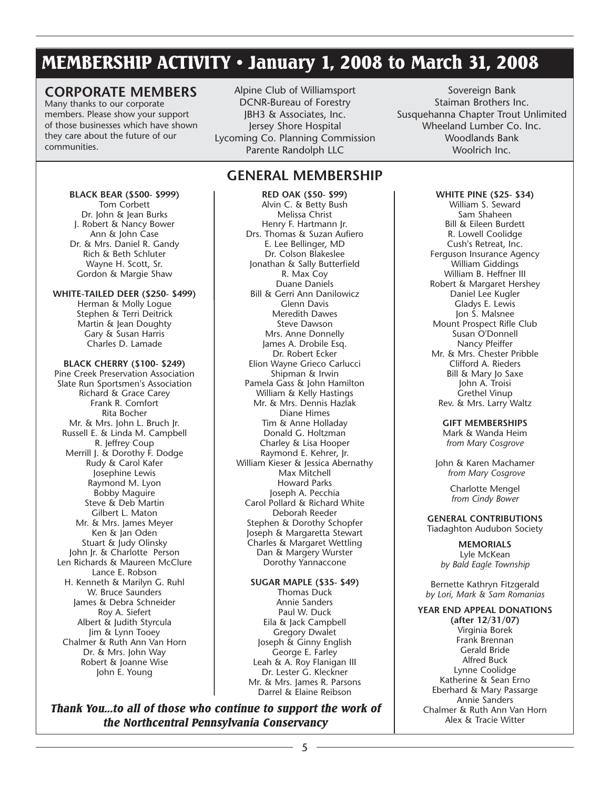### MEMBERSHIP ACTIVITY • January 1, 2008 to March 31, 2008

#### **CORPORATE MEMBERS**

Many thanks to our corporate members. Please show your support of those businesses which have shown they care about the future of our communities.

Alpine Club of Williamsport DCNR-Bureau of Forestry JBH3 & Associates, Inc. Jersey Shore Hospital Lycoming Co. Planning Commission Parente Randolph LLC

#### **GENERAL MEMBERSHIP**

**BLACK BEAR (\$500- \$999)** Tom Corbett Dr. John & Jean Burks J. Robert & Nancy Bower Ann & John Case Dr. & Mrs. Daniel R. Gandy Rich & Beth Schluter Wayne H. Scott, Sr. Gordon & Margie Shaw **WHITE-TAILED DEER (\$250- \$499)**

Herman & Molly Logue Stephen & Terri Deitrick Martin & Jean Doughty Gary & Susan Harris Charles D. Lamade

**BLACK CHERRY (\$100- \$249)** Pine Creek Preservation Association Slate Run Sportsmen's Association Richard & Grace Carey Frank R. Comfort Rita Bocher Mr. & Mrs. John L. Bruch Jr. Russell E. & Linda M. Campbell R. Jeffrey Coup Merrill J. & Dorothy F. Dodge Rudy & Carol Kafer Josephine Lewis Raymond M. Lyon Bobby Maguire Steve & Deb Martin Gilbert L. Maton Mr. & Mrs. James Meyer Ken & Jan Oden Stuart & Judy Olinsky John Jr. & Charlotte Person Len Richards & Maureen McClure Lance E. Robson H. Kenneth & Marilyn G. Ruhl W. Bruce Saunders James & Debra Schneider Roy A. Siefert Albert & Judith Styrcula Jim & Lynn Tooey Chalmer & Ruth Ann Van Horn Dr. & Mrs. John Way Robert & Joanne Wise

John E. Young

**RED OAK (\$50- \$99)** Alvin C. & Betty Bush Melissa Christ Henry F. Hartmann Jr. Drs. Thomas & Suzan Aufiero E. Lee Bellinger, MD Dr. Colson Blakeslee Jonathan & Sally Butterfield R. Max Coy Duane Daniels Bill & Gerri Ann Danilowicz Glenn Davis Meredith Dawes Steve Dawson Mrs. Anne Donnelly James A. Drobile Esq. Dr. Robert Ecker Elion Wayne Grieco Carlucci Shipman & Irwin Pamela Gass & John Hamilton William & Kelly Hastings Mr. & Mrs. Dennis Hazlak Diane Himes Tim & Anne Holladay Donald G. Holtzman Charley & Lisa Hooper Raymond E. Kehrer, Jr. William Kieser & Jessica Abernathy Max Mitchell Howard Parks Joseph A. Pecchia Carol Pollard & Richard White Deborah Reeder Stephen & Dorothy Schopfer Joseph & Margaretta Stewart Charles & Margaret Wettling Dan & Margery Wurster Dorothy Yannaccone

**SUGAR MAPLE (\$35- \$49)** Thomas Duck Annie Sanders Paul W. Duck Eila & Jack Campbell Gregory Dwalet Joseph & Ginny English George E. Farley Leah & A. Roy Flanigan III Dr. Lester G. Kleckner Mr. & Mrs. James R. Parsons Darrel & Elaine Reibson

*Thank You...to all of those who continue to support the work of the Northcentral Pennsylvania Conservancy*

Sovereign Bank Staiman Brothers Inc. Susquehanna Chapter Trout Unlimited Wheeland Lumber Co. Inc. Woodlands Bank Woolrich Inc.

> **WHITE PINE (\$25- \$34)** William S. Seward Sam Shaheen Bill & Eileen Burdett R. Lowell Coolidge Cush's Retreat, Inc. Ferguson Insurance Agency William Giddings William B. Heffner III Robert & Margaret Hershey Daniel Lee Kugler Gladys E. Lewis Jon S. Malsnee Mount Prospect Rifle Club Susan O'Donnell Nancy Pfeiffer Mr. & Mrs. Chester Pribble Clifford A. Rieders Bill & Mary Jo Saxe John A. Troisi Grethel Vinup Rev. & Mrs. Larry Waltz

> > **GIFT MEMBERSHIPS** Mark & Wanda Heim *from Mary Cosgrove*

John & Karen Machamer *from Mary Cosgrove*

> Charlotte Mengel *from Cindy Bower*

**GENERAL CONTRIBUTIONS** Tiadaghton Audubon Society

> **MEMORIALS** Lyle McKean *by Bald Eagle Township*

Bernette Kathryn Fitzgerald *by Lori, Mark & Sam Romanias*

**YEAR END APPEAL DONATIONS (after 12/31/07)** Virginia Borek Frank Brennan Gerald Bride Alfred Buck Lynne Coolidge Katherine & Sean Erno Eberhard & Mary Passarge Annie Sanders Chalmer & Ruth Ann Van Horn Alex & Tracie Witter